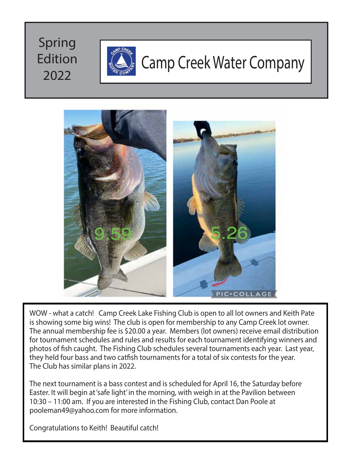### Spring Edition 2022



### Camp Creek Water Company



WOW - what a catch! Camp Creek Lake Fishing Club is open to all lot owners and Keith Pate is showing some big wins! The club is open for membership to any Camp Creek lot owner. The annual membership fee is \$20.00 a year. Members (lot owners) receive email distribution for tournament schedules and rules and results for each tournament identifying winners and photos of fish caught. The Fishing Club schedules several tournaments each year. Last year, they held four bass and two catfish tournaments for a total of six contests for the year. The Club has similar plans in 2022.

The next tournament is a bass contest and is scheduled for April 16, the Saturday before Easter. It will begin at 'safe light' in the morning, with weigh in at the Pavilion between 10:30 – 11:00 am. If you are interested in the Fishing Club, contact Dan Poole at pooleman49@yahoo.com for more information.

Congratulations to Keith! Beautiful catch!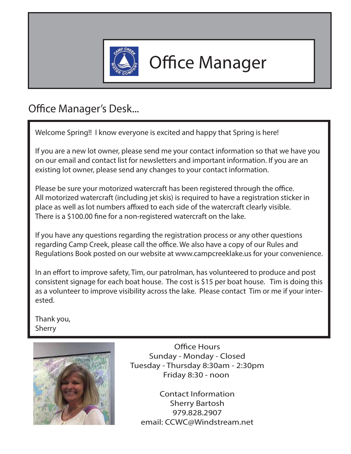

### **Office Manager**

### Office Manager's Desk...

Welcome Spring!! I know everyone is excited and happy that Spring is here!

If you are a new lot owner, please send me your contact information so that we have you on our email and contact list for newsletters and important information. If you are an existing lot owner, please send any changes to your contact information.

Please be sure your motorized watercraft has been registered through the office. All motorized watercraft (including jet skis) is required to have a registration sticker in place as well as lot numbers affixed to each side of the watercraft clearly visible. There is a \$100.00 fine for a non-registered watercraft on the lake.

If you have any questions regarding the registration process or any other questions regarding Camp Creek, please call the office. We also have a copy of our Rules and Regulations Book posted on our website at www.campcreeklake.us for your convenience.

In an effort to improve safety, Tim, our patrolman, has volunteered to produce and post consistent signage for each boat house. The cost is \$15 per boat house. Tim is doing this as a volunteer to improve visibility across the lake. Please contact Tim or me if your interested.

Thank you, Sherry



Office Hours Sunday - Monday - Closed Tuesday - Thursday 8:30am - 2:30pm Friday 8:30 - noon

Contact Information Sherry Bartosh 979.828.2907 email: CCWC@Windstream.net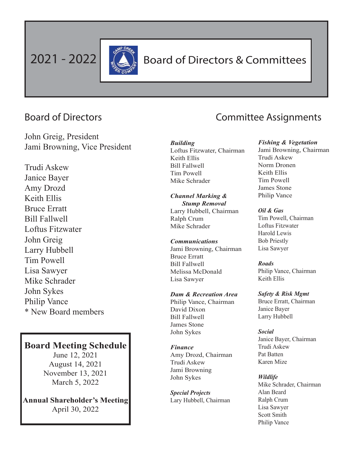

### 2021 - 2022 **All Board of Directors & Committees**

John Greig, President Jami Browning, Vice President

Trudi Askew Janice Bayer Amy Drozd Keith Ellis Bruce Erratt Bill Fallwell Loftus Fitzwater John Greig Larry Hubbell Tim Powell Lisa Sawyer Mike Schrader John Sykes Philip Vance \* New Board members

### **Board Meeting Schedule**

June 12, 2021 August 14, 2021 November 13, 2021 March 5, 2022

**Annual Shareholder's Meeting** April 30, 2022

### Board of Directors **Committee Assignments**

#### *Building* Loftus Fitzwater, Chairman Keith Ellis Bill Fallwell Tim Powell Mike Schrader

*Channel Marking & Stump Removal* Larry Hubbell, Chairman Ralph Crum Mike Schrader

#### *Communications* Jami Browning, Chairman Bruce Erratt Bill Fallwell Melissa McDonald Lisa Sawyer

*Dam & Recreation Area* Philip Vance, Chairman David Dixon Bill Fallwell James Stone John Sykes

#### *Finance* Amy Drozd, Chairman Trudi Askew Jami Browning

John Sykes

*Special Projects* Lary Hubbell, Chairman

#### *Fishing & Vegetation*

Jami Browning, Chairman Trudi Askew Norm Dronen Keith Ellis Tim Powell James Stone Philip Vance

#### *Oil & Gas*

Tim Powell, Chairman Loftus Fitzwater Harold Lewis Bob Priestly Lisa Sawyer

*Roads*

Philip Vance, Chairman Keith Ellis

*Safety & Risk Mgmt* Bruce Erratt, Chairman Janice Bayer Larry Hubbell

#### *Social*

Janice Bayer, Chairman Trudi Askew Pat Batten Karen Mize

#### *Wildlife*

Mike Schrader, Chairman Alan Beard Ralph Crum Lisa Sawyer Scott Smith Philip Vance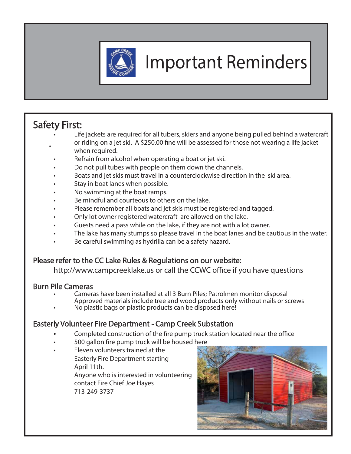

# Important Reminders

### Safety First:

- • Life jackets are required for all tubers, skiers and anyone being pulled behind a watercraft or riding on a jet ski. A \$250.00 fine will be assessed for those not wearing a life jacket when required.
	- Refrain from alcohol when operating a boat or jet ski.
	- Do not pull tubes with people on them down the channels.
	- Boats and jet skis must travel in a counterclockwise direction in the ski area.
	- Stay in boat lanes when possible.
	- No swimming at the boat ramps.
	- Be mindful and courteous to others on the lake.
	- Please remember all boats and jet skis must be registered and tagged.
	- Only lot owner registered watercraft are allowed on the lake.
	- Guests need a pass while on the lake, if they are not with a lot owner.
	- The lake has many stumps so please travel in the boat lanes and be cautious in the water.
	- Be careful swimming as hydrilla can be a safety hazard.

### Please refer to the CC Lake Rules & Regulations on our website:

http://www.campcreeklake.us or call the CCWC office if you have questions

### Burn Pile Cameras

- Cameras have been installed at all 3 Burn Piles; Patrolmen monitor disposal Approved materials include tree and wood products only without nails or screws
- No plastic bags or plastic products can be disposed here!

### Easterly Volunteer Fire Department - Camp Creek Substation

- Completed construction of the fire pump truck station located near the office
- 500 gallon fire pump truck will be housed here
- Eleven volunteers trained at the Easterly Fire Department starting April 11th. Anyone who is interested in volunteering contact Fire Chief Joe Hayes 713-249-3737

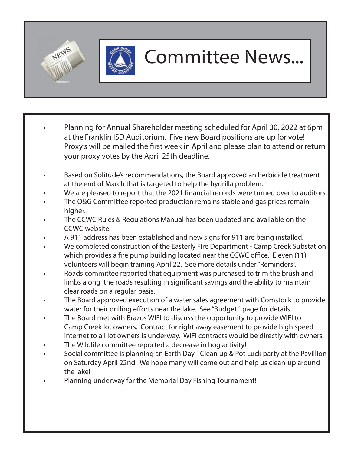



### Committee News...

- Planning for Annual Shareholder meeting scheduled for April 30, 2022 at 6pm at the Franklin ISD Auditorium. Five new Board positions are up for vote! Proxy's will be mailed the first week in April and please plan to attend or return your proxy votes by the April 25th deadline.
- Based on Solitude's recommendations, the Board approved an herbicide treatment at the end of March that is targeted to help the hydrilla problem.
- We are pleased to report that the 2021 financial records were turned over to auditors.
- The O&G Committee reported production remains stable and gas prices remain higher.
- The CCWC Rules & Regulations Manual has been updated and available on the CCWC website.
- A 911 address has been established and new signs for 911 are being installed.
- We completed construction of the Easterly Fire Department Camp Creek Substation which provides a fire pump building located near the CCWC office. Eleven (11) volunteers will begin training April 22. See more details under "Reminders".
- Roads committee reported that equipment was purchased to trim the brush and limbs along the roads resulting in significant savings and the ability to maintain clear roads on a regular basis.
- The Board approved execution of a water sales agreement with Comstock to provide water for their drilling efforts near the lake. See "Budget" page for details.
- The Board met with Brazos WIFI to discuss the opportunity to provide WIFI to Camp Creek lot owners. Contract for right away easement to provide high speed internet to all lot owners is underway. WIFI contracts would be directly with owners.
- The Wildlife committee reported a decrease in hog activity!
- Social committee is planning an Earth Day Clean up & Pot Luck party at the Pavillion on Saturday April 22nd. We hope many will come out and help us clean-up around the lake!
- Planning underway for the Memorial Day Fishing Tournament!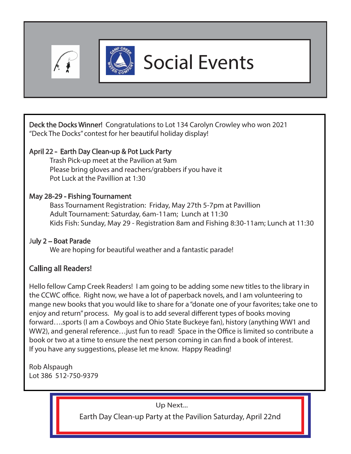



# Social Events

Deck the Docks Winner! Congratulations to Lot 134 Carolyn Crowley who won 2021 "Deck The Docks" contest for her beautiful holiday display!

### April 22 - Earth Day Clean-up & Pot Luck Party

 Trash Pick-up meet at the Pavilion at 9am Please bring gloves and reachers/grabbers if you have it Pot Luck at the Pavillion at 1:30

### May 28-29 - Fishing Tournament

Bass Tournament Registration: Friday, May 27th 5-7pm at Pavillion Adult Tournament: Saturday, 6am-11am; Lunch at 11:30 Kids Fish: Sunday, May 29 - Registration 8am and Fishing 8:30-11am; Lunch at 11:30

### July 2 – Boat Parade

We are hoping for beautiful weather and a fantastic parade!

### Calling all Readers!

Hello fellow Camp Creek Readers! I am going to be adding some new titles to the library in the CCWC office. Right now, we have a lot of paperback novels, and I am volunteering to mange new books that you would like to share for a "donate one of your favorites; take one to enjoy and return" process. My goal is to add several different types of books moving forward….sports (I am a Cowboys and Ohio State Buckeye fan), history (anything WW1 and WW2), and general reference... just fun to read! Space in the Office is limited so contribute a book or two at a time to ensure the next person coming in can find a book of interest. If you have any suggestions, please let me know. Happy Reading!

Rob Alspaugh Lot 386 512-750-9379

Up Next...

Earth Day Clean-up Party at the Pavilion Saturday, April 22nd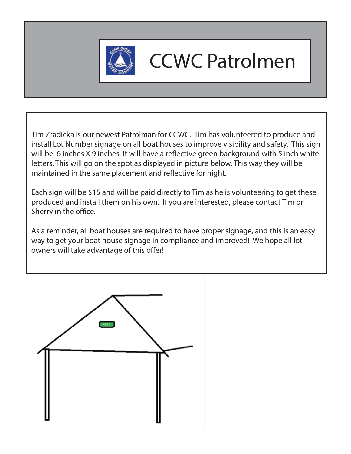

# CCWC Patrolmen

Tim Zradicka is our newest Patrolman for CCWC. Tim has volunteered to produce and install Lot Number signage on all boat houses to improve visibility and safety. This sign will be 6 inches X 9 inches. It will have a reflective green background with 5 inch white letters. This will go on the spot as displayed in picture below. This way they will be maintained in the same placement and reflective for night.

Each sign will be \$15 and will be paid directly to Tim as he is volunteering to get these produced and install them on his own. If you are interested, please contact Tim or Sherry in the office.

As a reminder, all boat houses are required to have proper signage, and this is an easy way to get your boat house signage in compliance and improved! We hope all lot owners will take advantage of this offer!

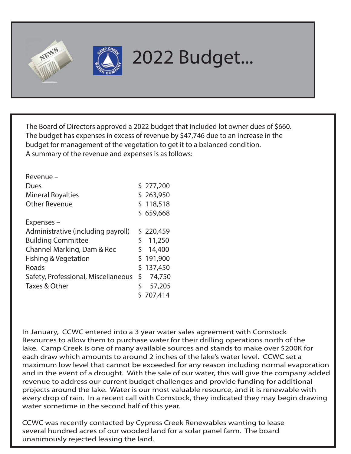



## 2022 Budget...

The Board of Directors approved a 2022 budget that included lot owner dues of \$660. The budget has expenses in excess of revenue by \$47,746 due to an increase in the budget for management of the vegetation to get it to a balanced condition. A summary of the revenue and expenses is as follows:

| Revenue-                            |    |           |
|-------------------------------------|----|-----------|
| Dues                                |    | \$277,200 |
| <b>Mineral Royalties</b>            |    | \$263,950 |
| <b>Other Revenue</b>                |    | \$118,518 |
|                                     |    | \$659,668 |
| Expenses-                           |    |           |
| Administrative (including payroll)  |    | \$220,459 |
| <b>Building Committee</b>           | \$ | 11,250    |
| Channel Marking, Dam & Rec          | Ś. | 14,400    |
| Fishing & Vegetation                |    | \$191,900 |
| Roads                               |    | \$137,450 |
| Safety, Professional, Miscellaneous | \$ | 74,750    |
| Taxes & Other                       |    | 57,205    |
|                                     |    | \$707,414 |

In January, CCWC entered into a 3 year water sales agreement with Comstock Resources to allow them to purchase water for their drilling operations north of the lake. Camp Creek is one of many available sources and stands to make over \$200K for each draw which amounts to around 2 inches of the lake's water level. CCWC set a maximum low level that cannot be exceeded for any reason including normal evaporation and in the event of a drought. With the sale of our water, this will give the company added revenue to address our current budget challenges and provide funding for additional projects around the lake. Water is our most valuable resource, and it is renewable with every drop of rain. In a recent call with Comstock, they indicated they may begin drawing water sometime in the second half of this year.

CCWC was recently contacted by Cypress Creek Renewables wanting to lease several hundred acres of our wooded land for a solar panel farm. The board unanimously rejected leasing the land.